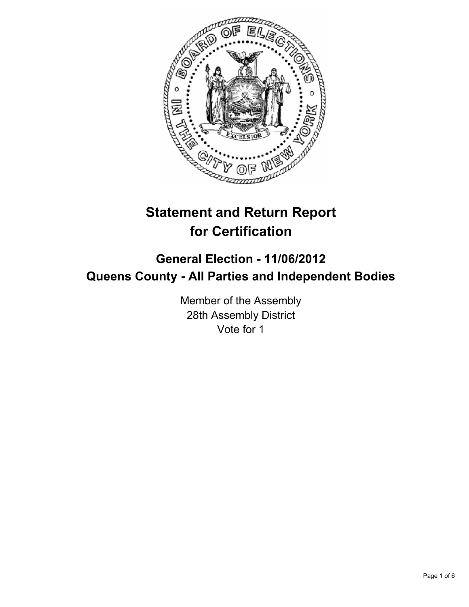

# **Statement and Return Report for Certification**

## **General Election - 11/06/2012 Queens County - All Parties and Independent Bodies**

Member of the Assembly 28th Assembly District Vote for 1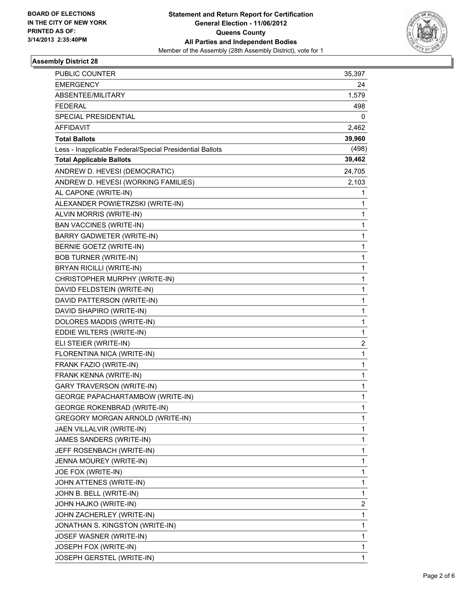

#### **Assembly District 28**

| PUBLIC COUNTER                                            | 35,397     |
|-----------------------------------------------------------|------------|
| <b>EMERGENCY</b>                                          | 24         |
| ABSENTEE/MILITARY                                         | 1,579      |
| <b>FEDERAL</b>                                            | 498        |
| <b>SPECIAL PRESIDENTIAL</b>                               | 0          |
| AFFIDAVIT                                                 | 2,462      |
| <b>Total Ballots</b>                                      | 39,960     |
| Less - Inapplicable Federal/Special Presidential Ballots  | (498)      |
| <b>Total Applicable Ballots</b>                           | 39,462     |
| ANDREW D. HEVESI (DEMOCRATIC)                             | 24,705     |
| ANDREW D. HEVESI (WORKING FAMILIES)                       |            |
| AL CAPONE (WRITE-IN)                                      | 2,103<br>1 |
|                                                           |            |
| ALEXANDER POWIETRZSKI (WRITE-IN)                          | 1          |
| ALVIN MORRIS (WRITE-IN)<br><b>BAN VACCINES (WRITE-IN)</b> | 1          |
|                                                           | 1          |
| <b>BARRY GADWETER (WRITE-IN)</b>                          | 1          |
| BERNIE GOETZ (WRITE-IN)                                   | 1          |
| <b>BOB TURNER (WRITE-IN)</b>                              | 1          |
| BRYAN RICILLI (WRITE-IN)                                  | 1          |
| CHRISTOPHER MURPHY (WRITE-IN)                             | 1          |
| DAVID FELDSTEIN (WRITE-IN)                                | 1          |
| DAVID PATTERSON (WRITE-IN)                                | 1          |
| DAVID SHAPIRO (WRITE-IN)                                  | 1          |
| DOLORES MADDIS (WRITE-IN)                                 | 1          |
| EDDIE WILTERS (WRITE-IN)                                  | 1          |
| ELI STEIER (WRITE-IN)                                     | 2          |
| FLORENTINA NICA (WRITE-IN)                                | 1          |
| FRANK FAZIO (WRITE-IN)                                    | 1          |
| FRANK KENNA (WRITE-IN)                                    | 1          |
| <b>GARY TRAVERSON (WRITE-IN)</b>                          | 1          |
| GEORGE PAPACHARTAMBOW (WRITE-IN)                          | 1          |
| <b>GEORGE ROKENBRAD (WRITE-IN)</b>                        | 1          |
| GREGORY MORGAN ARNOLD (WRITE-IN)                          | 1          |
| JAEN VILLALVIR (WRITE-IN)                                 | 1          |
| JAMES SANDERS (WRITE-IN)                                  | 1          |
| JEFF ROSENBACH (WRITE-IN)                                 | 1          |
| JENNA MOUREY (WRITE-IN)                                   | 1          |
| JOE FOX (WRITE-IN)                                        | 1          |
| JOHN ATTENES (WRITE-IN)                                   | 1          |
| JOHN B. BELL (WRITE-IN)                                   | 1          |
| JOHN HAJKO (WRITE-IN)                                     | 2          |
| JOHN ZACHERLEY (WRITE-IN)                                 | 1          |
| JONATHAN S. KINGSTON (WRITE-IN)                           | 1          |
| JOSEF WASNER (WRITE-IN)                                   | 1          |
| JOSEPH FOX (WRITE-IN)                                     | 1          |
| JOSEPH GERSTEL (WRITE-IN)                                 | 1          |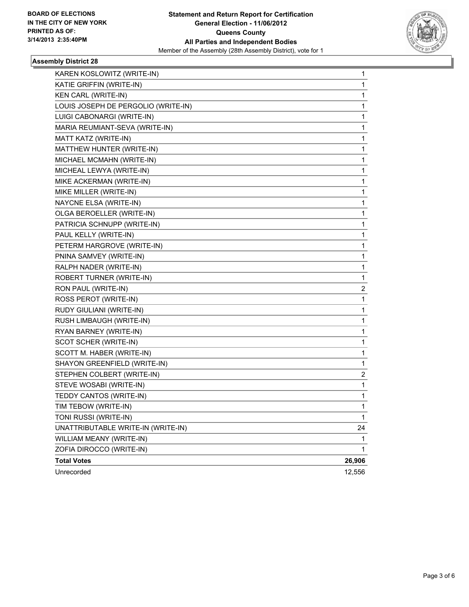

#### **Assembly District 28**

| KAREN KOSLOWITZ (WRITE-IN)          | 1      |
|-------------------------------------|--------|
| KATIE GRIFFIN (WRITE-IN)            | 1      |
| KEN CARL (WRITE-IN)                 | 1      |
| LOUIS JOSEPH DE PERGOLIO (WRITE-IN) | 1      |
| LUIGI CABONARGI (WRITE-IN)          | 1      |
| MARIA REUMIANT-SEVA (WRITE-IN)      | 1      |
| MATT KATZ (WRITE-IN)                | 1      |
| MATTHEW HUNTER (WRITE-IN)           | 1      |
| MICHAEL MCMAHN (WRITE-IN)           | 1      |
| MICHEAL LEWYA (WRITE-IN)            | 1      |
| MIKE ACKERMAN (WRITE-IN)            | 1      |
| MIKE MILLER (WRITE-IN)              | 1      |
| NAYCNE ELSA (WRITE-IN)              | 1      |
| OLGA BEROELLER (WRITE-IN)           | 1      |
| PATRICIA SCHNUPP (WRITE-IN)         | 1      |
| PAUL KELLY (WRITE-IN)               | 1      |
| PETERM HARGROVE (WRITE-IN)          | 1      |
| PNINA SAMVEY (WRITE-IN)             | 1      |
| RALPH NADER (WRITE-IN)              | 1      |
| ROBERT TURNER (WRITE-IN)            | 1      |
| RON PAUL (WRITE-IN)                 | 2      |
| ROSS PEROT (WRITE-IN)               | 1      |
| RUDY GIULIANI (WRITE-IN)            | 1      |
| RUSH LIMBAUGH (WRITE-IN)            | 1      |
| RYAN BARNEY (WRITE-IN)              | 1      |
| SCOT SCHER (WRITE-IN)               | 1      |
| SCOTT M. HABER (WRITE-IN)           | 1      |
| SHAYON GREENFIELD (WRITE-IN)        | 1      |
| STEPHEN COLBERT (WRITE-IN)          | 2      |
| STEVE WOSABI (WRITE-IN)             | 1      |
| TEDDY CANTOS (WRITE-IN)             | 1      |
| TIM TEBOW (WRITE-IN)                | 1      |
| TONI RUSSI (WRITE-IN)               | 1      |
| UNATTRIBUTABLE WRITE-IN (WRITE-IN)  | 24     |
| WILLIAM MEANY (WRITE-IN)            | 1      |
| ZOFIA DIROCCO (WRITE-IN)            | 1      |
| <b>Total Votes</b>                  | 26,906 |
| Unrecorded                          | 12,556 |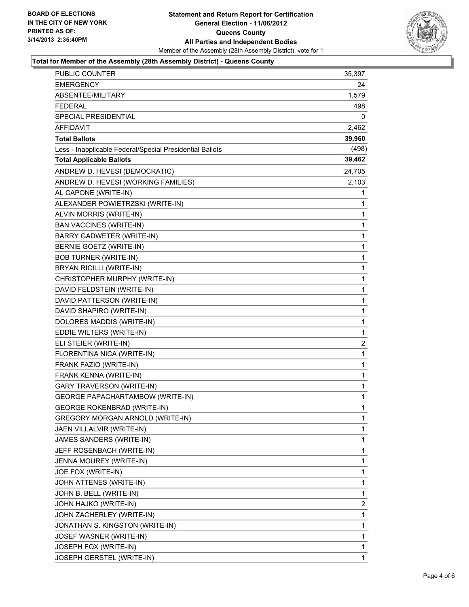

#### **Total for Member of the Assembly (28th Assembly District) - Queens County**

| <b>PUBLIC COUNTER</b>                                    | 35,397       |
|----------------------------------------------------------|--------------|
| <b>EMERGENCY</b>                                         | 24           |
| ABSENTEE/MILITARY                                        | 1,579        |
| FEDERAL                                                  | 498          |
| SPECIAL PRESIDENTIAL                                     | 0            |
| AFFIDAVIT                                                | 2,462        |
| <b>Total Ballots</b>                                     | 39,960       |
| Less - Inapplicable Federal/Special Presidential Ballots | (498)        |
| <b>Total Applicable Ballots</b>                          | 39,462       |
| ANDREW D. HEVESI (DEMOCRATIC)                            | 24,705       |
| ANDREW D. HEVESI (WORKING FAMILIES)                      | 2,103        |
| AL CAPONE (WRITE-IN)                                     | 1            |
| ALEXANDER POWIETRZSKI (WRITE-IN)                         | 1            |
| ALVIN MORRIS (WRITE-IN)                                  | 1            |
| <b>BAN VACCINES (WRITE-IN)</b>                           | 1            |
| <b>BARRY GADWETER (WRITE-IN)</b>                         | 1            |
| BERNIE GOETZ (WRITE-IN)                                  | 1            |
| <b>BOB TURNER (WRITE-IN)</b>                             | $\mathbf{1}$ |
| BRYAN RICILLI (WRITE-IN)                                 | 1            |
| CHRISTOPHER MURPHY (WRITE-IN)                            | 1            |
| DAVID FELDSTEIN (WRITE-IN)                               | $\mathbf{1}$ |
| DAVID PATTERSON (WRITE-IN)                               | 1            |
| DAVID SHAPIRO (WRITE-IN)                                 | 1            |
| DOLORES MADDIS (WRITE-IN)                                | $\mathbf{1}$ |
| EDDIE WILTERS (WRITE-IN)                                 | 1            |
| ELI STEIER (WRITE-IN)                                    | 2            |
| FLORENTINA NICA (WRITE-IN)                               | 1            |
| FRANK FAZIO (WRITE-IN)                                   | 1            |
| FRANK KENNA (WRITE-IN)                                   | 1            |
| <b>GARY TRAVERSON (WRITE-IN)</b>                         | $\mathbf{1}$ |
| <b>GEORGE PAPACHARTAMBOW (WRITE-IN)</b>                  | 1            |
| <b>GEORGE ROKENBRAD (WRITE-IN)</b>                       | 1            |
| GREGORY MORGAN ARNOLD (WRITE-IN)                         | 1            |
| JAEN VILLALVIR (WRITE-IN)                                | 1            |
| JAMES SANDERS (WRITE-IN)                                 | 1            |
| JEFF ROSENBACH (WRITE-IN)                                | 1            |
| JENNA MOUREY (WRITE-IN)                                  | 1            |
| JOE FOX (WRITE-IN)                                       | 1            |
| JOHN ATTENES (WRITE-IN)                                  | 1            |
| JOHN B. BELL (WRITE-IN)                                  | 1            |
| JOHN HAJKO (WRITE-IN)                                    | 2            |
| JOHN ZACHERLEY (WRITE-IN)                                | 1            |
| JONATHAN S. KINGSTON (WRITE-IN)                          | 1            |
| JOSEF WASNER (WRITE-IN)                                  | 1            |
| JOSEPH FOX (WRITE-IN)                                    | 1            |
| JOSEPH GERSTEL (WRITE-IN)                                | 1            |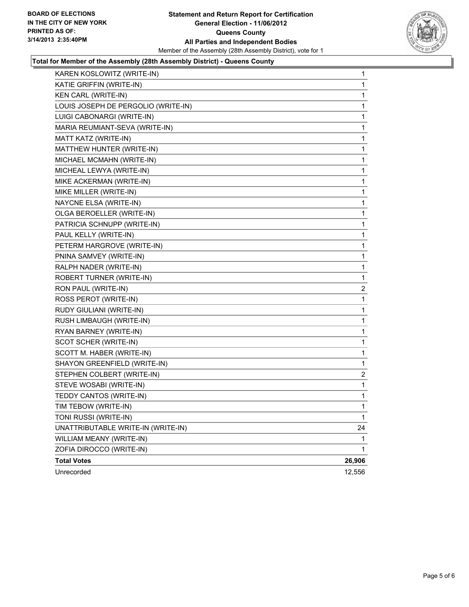

#### **Total for Member of the Assembly (28th Assembly District) - Queens County**

| KAREN KOSLOWITZ (WRITE-IN)          | $\mathbf{1}$ |
|-------------------------------------|--------------|
| KATIE GRIFFIN (WRITE-IN)            | 1            |
| KEN CARL (WRITE-IN)                 | 1            |
| LOUIS JOSEPH DE PERGOLIO (WRITE-IN) | 1            |
| LUIGI CABONARGI (WRITE-IN)          | 1            |
| MARIA REUMIANT-SEVA (WRITE-IN)      | 1            |
| MATT KATZ (WRITE-IN)                | 1            |
| MATTHEW HUNTER (WRITE-IN)           | 1            |
| MICHAEL MCMAHN (WRITE-IN)           | 1            |
| MICHEAL LEWYA (WRITE-IN)            | 1            |
| MIKE ACKERMAN (WRITE-IN)            | 1            |
| MIKE MILLER (WRITE-IN)              | 1            |
| NAYCNE ELSA (WRITE-IN)              | 1            |
| OLGA BEROELLER (WRITE-IN)           | 1            |
| PATRICIA SCHNUPP (WRITE-IN)         | 1            |
| PAUL KELLY (WRITE-IN)               | 1            |
| PETERM HARGROVE (WRITE-IN)          | 1            |
| PNINA SAMVEY (WRITE-IN)             | 1            |
| RALPH NADER (WRITE-IN)              | 1            |
| <b>ROBERT TURNER (WRITE-IN)</b>     | 1            |
| RON PAUL (WRITE-IN)                 | 2            |
| ROSS PEROT (WRITE-IN)               | 1            |
| RUDY GIULIANI (WRITE-IN)            | 1            |
| RUSH LIMBAUGH (WRITE-IN)            | 1            |
| RYAN BARNEY (WRITE-IN)              | 1            |
| SCOT SCHER (WRITE-IN)               | 1            |
| SCOTT M. HABER (WRITE-IN)           | 1            |
| SHAYON GREENFIELD (WRITE-IN)        | 1            |
| STEPHEN COLBERT (WRITE-IN)          | 2            |
| STEVE WOSABI (WRITE-IN)             | 1            |
| TEDDY CANTOS (WRITE-IN)             | 1            |
| TIM TEBOW (WRITE-IN)                | $\mathbf 1$  |
| TONI RUSSI (WRITE-IN)               | 1            |
| UNATTRIBUTABLE WRITE-IN (WRITE-IN)  | 24           |
| WILLIAM MEANY (WRITE-IN)            | 1            |
| ZOFIA DIROCCO (WRITE-IN)            | 1            |
| <b>Total Votes</b>                  | 26,906       |
| Unrecorded                          | 12,556       |